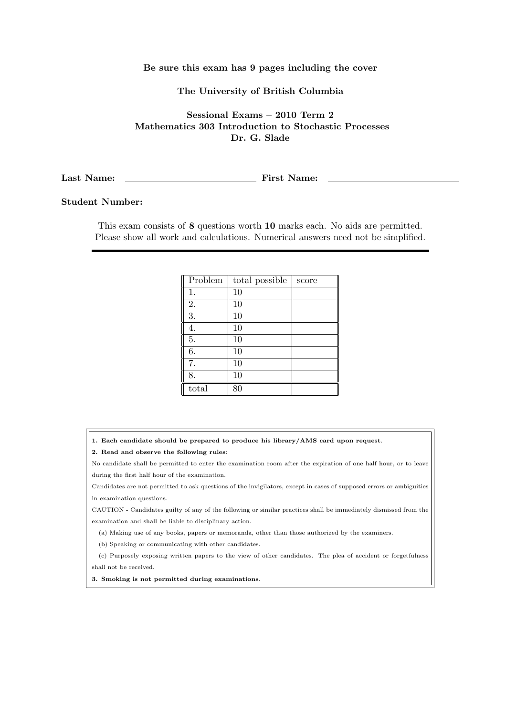## Be sure this exam has 9 pages including the cover

## The University of British Columbia

Sessional Exams – 2010 Term 2 Mathematics 303 Introduction to Stochastic Processes Dr. G. Slade

Last Name: First Name:

Student Number:

This exam consists of 8 questions worth 10 marks each. No aids are permitted. Please show all work and calculations. Numerical answers need not be simplified.

| Problem | total possible | score |
|---------|----------------|-------|
| 1.      | 10             |       |
| 2.      | 10             |       |
| 3.      | 10             |       |
| 4.      | 10             |       |
| 5.      | 10             |       |
| 6.      | 10             |       |
| 7.      | 10             |       |
| 8.      | 10             |       |
| total   | 80             |       |

1. Each candidate should be prepared to produce his library/AMS card upon request.

2. Read and observe the following rules:

No candidate shall be permitted to enter the examination room after the expiration of one half hour, or to leave during the first half hour of the examination.

Candidates are not permitted to ask questions of the invigilators, except in cases of supposed errors or ambiguities in examination questions.

CAUTION - Candidates guilty of any of the following or similar practices shall be immediately dismissed from the examination and shall be liable to disciplinary action.

(a) Making use of any books, papers or memoranda, other than those authorized by the examiners.

(b) Speaking or communicating with other candidates.

(c) Purposely exposing written papers to the view of other candidates. The plea of accident or forgetfulness shall not be received.

3. Smoking is not permitted during examinations.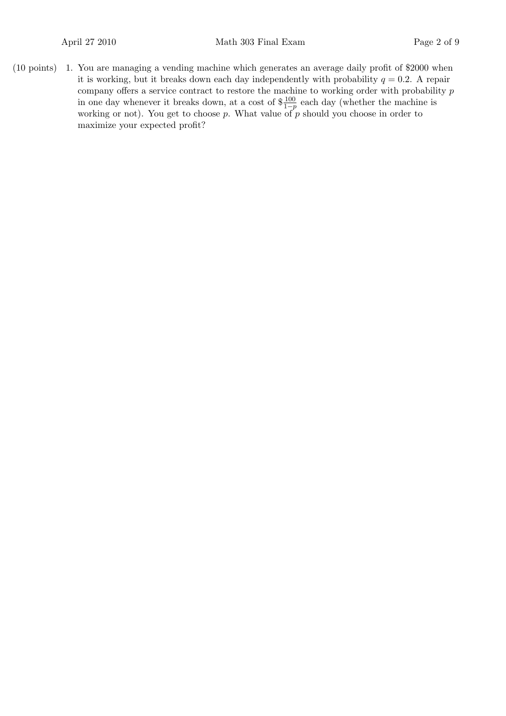1.(10 points) You are managing a vending machine which generates an average daily profit of \$2000 when it is working, but it breaks down each day independently with probability  $q = 0.2$ . A repair company offers a service contract to restore the machine to working order with probability  $\boldsymbol{p}$ in one day whenever it breaks down, at a cost of  $\frac{100}{1-p}$  each day (whether the machine is working or not). You get to choose p. What value of  $p$  should you choose in order to maximize your expected profit?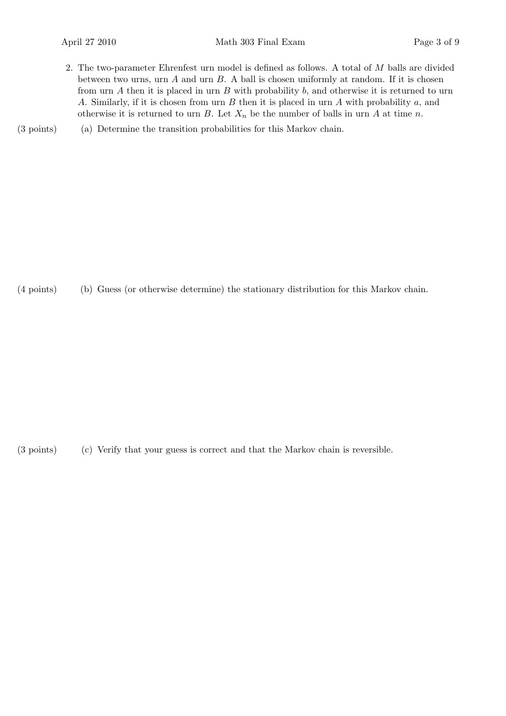- 2. The two-parameter Ehrenfest urn model is defined as follows. A total of M balls are divided between two urns, urn  $A$  and urn  $B$ . A ball is chosen uniformly at random. If it is chosen from urn  $A$  then it is placed in urn  $B$  with probability  $b$ , and otherwise it is returned to urn A. Similarly, if it is chosen from urn  $B$  then it is placed in urn  $A$  with probability  $a$ , and otherwise it is returned to urn B. Let  $X_n$  be the number of balls in urn A at time n.
- (3 points) (a) Determine the transition probabilities for this Markov chain.

(4 points) (b) Guess (or otherwise determine) the stationary distribution for this Markov chain.

(3 points) (c) Verify that your guess is correct and that the Markov chain is reversible.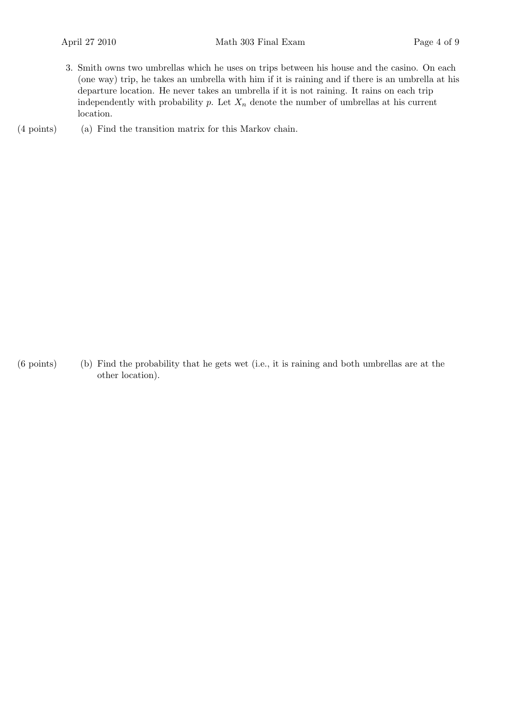3. Smith owns two umbrellas which he uses on trips between his house and the casino. On each (one way) trip, he takes an umbrella with him if it is raining and if there is an umbrella at his departure location. He never takes an umbrella if it is not raining. It rains on each trip independently with probability p. Let  $X_n$  denote the number of umbrellas at his current location.

(4 points) (a) Find the transition matrix for this Markov chain.

(b)(6 points) Find the probability that he gets wet (i.e., it is raining and both umbrellas are at the other location).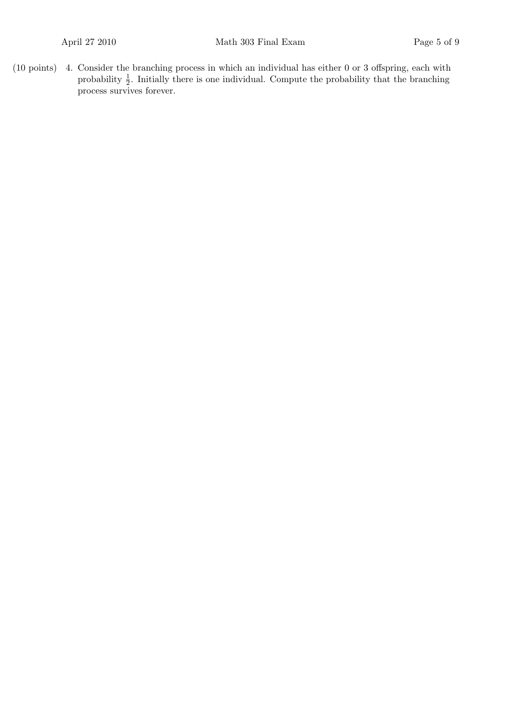$(10 \text{ points})$  4. Consider the branching process in which an individual has either 0 or 3 offspring, each with probability  $\frac{1}{2}$ . Initially there is one individual. Compute the probability that the branching process survives forever.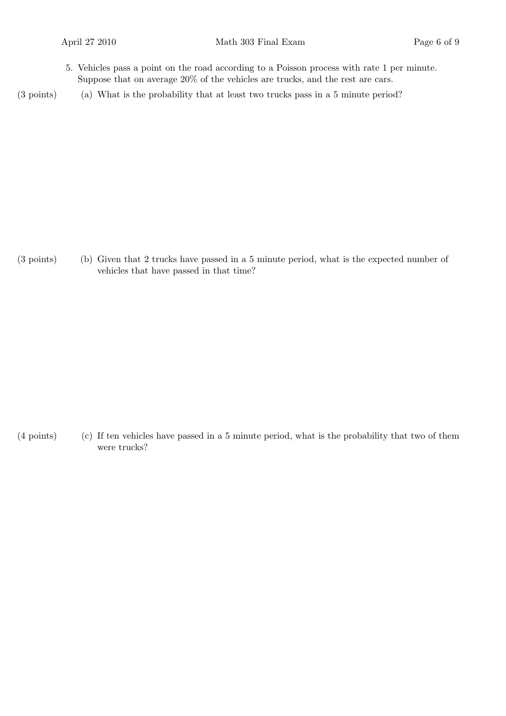- 5. Vehicles pass a point on the road according to a Poisson process with rate 1 per minute. Suppose that on average 20% of the vehicles are trucks, and the rest are cars.
- (3 points) (a) What is the probability that at least two trucks pass in a 5 minute period?

(3 points) (b) Given that 2 trucks have passed in a 5 minute period, what is the expected number of vehicles that have passed in that time?

 $(4 \text{ points})$  If ten vehicles have passed in a 5 minute period, what is the probability that two of them were trucks?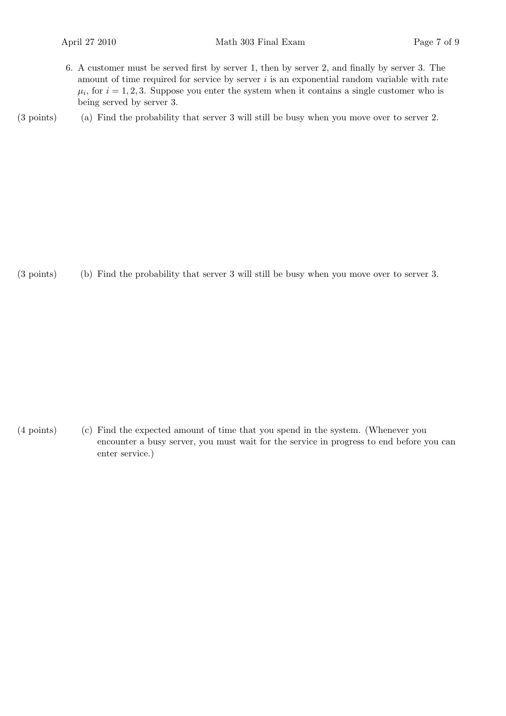6. A customer must be served first by server 1, then by server 2, and finally by server 3. The amount of time required for service by server  $i$  is an exponential random variable with rate  $\mu_i$ , for  $i = 1, 2, 3$ . Suppose you enter the system when it contains a single customer who is being served by server 3.

(a)(3 points) Find the probability that server 3 will still be busy when you move over to server 2.

(b)(3 points) Find the probability that server 3 will still be busy when you move over to server 3.

(c)(4 points) Find the expected amount of time that you spend in the system. (Whenever you encounter a busy server, you must wait for the service in progress to end before you can enter service.)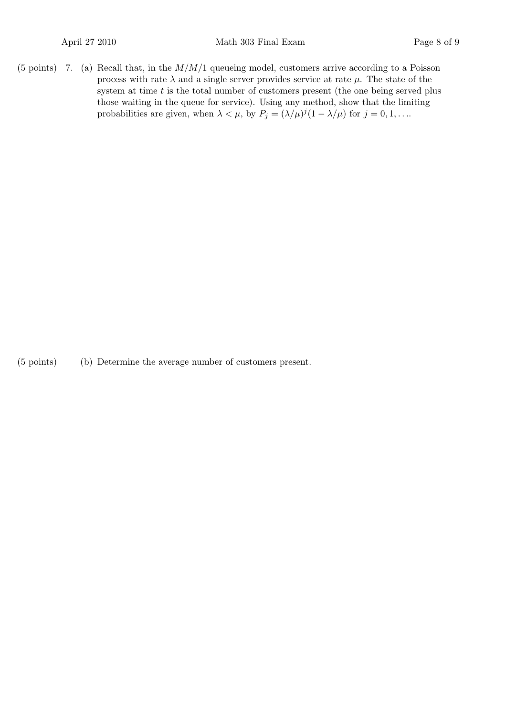(5 points) 7. (a) Recall that, in the  $M/M/1$  queueing model, customers arrive according to a Poisson process with rate  $\lambda$  and a single server provides service at rate  $\mu$ . The state of the system at time  $t$  is the total number of customers present (the one being served plus those waiting in the queue for service). Using any method, show that the limiting probabilities are given, when  $\lambda < \mu$ , by  $P_j = (\lambda/\mu)^j (1 - \lambda/\mu)$  for  $j = 0, 1, \ldots$ 

(b)(5 points) Determine the average number of customers present.